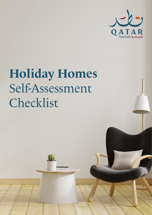

# **Holiday Homes** Self-Assessment Checklist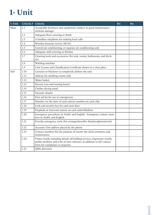### **1- Unit**

| 1- Unit | Criteria # | Criteria                                                                                                                                                                                | Yes | <b>No</b> |
|---------|------------|-----------------------------------------------------------------------------------------------------------------------------------------------------------------------------------------|-----|-----------|
| Main    | 1.1        | Acceptable furniture and equipment (subject to good maintenance<br>without damage)                                                                                                      |     |           |
|         | 1.2        | Adequate floor covering or finish                                                                                                                                                       |     |           |
|         | 1.3        | A landline telephone for making local calls                                                                                                                                             |     |           |
|         | 1.4        | Wireless Internet service (Wi-Fi)                                                                                                                                                       |     |           |
|         | 1.5        | Central air conditioning, or separate air conditioning unit                                                                                                                             |     |           |
|         | 1.6        | Adequate wall covering or finishes                                                                                                                                                      |     |           |
|         | 1.7        | Cleaning tools and accessories (for unit, rooms, bathrooms, and kitch-<br>en)                                                                                                           |     |           |
|         | 1.8        | Washing machine                                                                                                                                                                         |     |           |
|         | 1.9        | Unit License and Classification Certificate shown in a clear place                                                                                                                      |     |           |
| Sub     | 1.10       | Curtains or blackout to completely darken the unit                                                                                                                                      |     |           |
|         | 1.11       | Ashtray for smoking rooms only                                                                                                                                                          |     |           |
|         | 1.12       | Waste basket                                                                                                                                                                            |     |           |
|         | 1.13       | Electric iron and ironing board                                                                                                                                                         |     |           |
|         | 1.14       | Clothes drying stand                                                                                                                                                                    |     |           |
|         | 1.15       | Vacuum cleaner                                                                                                                                                                          |     |           |
|         | 1.16       | First aid kit for use in emergencies                                                                                                                                                    |     |           |
|         | 1.17       | Number on the door of each unit/or number on each villa                                                                                                                                 |     |           |
|         | 1.18       |                                                                                                                                                                                         |     |           |
|         | 1.19       | Peephole or intercom system on each unit/villa/door                                                                                                                                     |     |           |
|         | 1.20       | Emergency procedures in Arabic and English. Emergency contact num-<br>bers in Arabic and English                                                                                        |     |           |
|         | 1.21       | Provide emergency tools (fire extinguishers/fire blankets/gloves/torch)                                                                                                                 |     |           |
|         | 1.22       | Accurate Unit address placed by the phone                                                                                                                                               |     |           |
|         | 1.23       | Contact numbers for the purpose of round-the-clock assistance and<br>maintenance                                                                                                        |     |           |
|         | 1.24       | Visitor Guide including details of building services, important nearby<br>public facilities, and a list of unit contents, in addition to QT contact<br>form for complaints or inquiries |     |           |
|         | 1.25       | Qibla direction                                                                                                                                                                         |     |           |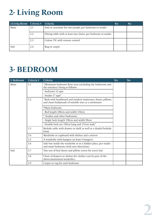## **2- Living Room**

| 2-Living Room Criteria # |     | Criteria                                                     | Yes | No. |
|--------------------------|-----|--------------------------------------------------------------|-----|-----|
| Main                     | 2.1 | Sofa or armchair for two people, per bedroom or studio       |     |     |
|                          | 2.2 | Dining table with at least two chairs, per bedroom or studio |     |     |
|                          | 2.3 | Colour T.V. with remote control                              |     |     |
| Sub                      | 2.4 | Rug or carpet                                                |     |     |

#### **3- BEDROOM**

| 3- Bedroom | Criteria #                                                                                                                  | Criteria                                                                                                 | Yes | <b>No</b> |
|------------|-----------------------------------------------------------------------------------------------------------------------------|----------------------------------------------------------------------------------------------------------|-----|-----------|
| Main       | 3.1                                                                                                                         | "Minimum bedroom floor area (excluding the bathroom and<br>the entrance) being as follows:               |     |           |
|            |                                                                                                                             | - bedroom 12 sqm                                                                                         |     |           |
|            |                                                                                                                             | - Studio 17 sqm"                                                                                         |     |           |
|            | 3.2<br>"Beds with headboard and modern mattresses, sheets, pillows,<br>and clean bedspreads of suitable sizes as a minimum: |                                                                                                          |     |           |
|            |                                                                                                                             | *Main bedroom:                                                                                           |     |           |
|            |                                                                                                                             | - Bed length 200cm and width 150cm                                                                       |     |           |
|            |                                                                                                                             | * Studios and other bedrooms:                                                                            |     |           |
|            |                                                                                                                             | - Single beds length 190cm and width 90cm                                                                |     |           |
|            |                                                                                                                             | - Double beds are 190cm long and 135cm wide"                                                             |     |           |
|            | 3.3                                                                                                                         | Bedside table with drawer or shelf, as well as a shaded bedside<br>lamp                                  |     |           |
|            | 3.4                                                                                                                         | Wardrobe or cupboard with shelves and a mirror                                                           |     |           |
|            | 3.5                                                                                                                         | A wardrobe with hangers (at least 6 hangers)                                                             |     |           |
|            | 3.6                                                                                                                         | Safe box inside the wardrobe or in a hidden place, per studio<br>and main bedroom (with user directions) |     |           |
| Sub        | 3.7                                                                                                                         | Two sets of bed sheets and pillow covers for every bed                                                   |     |           |
|            | 3.8                                                                                                                         | Chest of drawers or shelves for clothes (can be part of the<br>above-mentioned wardrobe).                |     |           |
|            | 3.9                                                                                                                         | Carpet or rug for each bedroom                                                                           |     |           |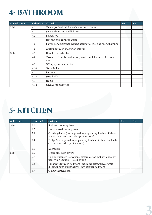### **4- BATHROOM**

| 4-Bathroom                        | Criteria #                                            | Criteria                                                              | <b>Yes</b> | N <sub>o</sub> |
|-----------------------------------|-------------------------------------------------------|-----------------------------------------------------------------------|------------|----------------|
| Main                              | 4.1                                                   | Shower, or bathtub for each en-suite bathroom                         |            |                |
|                                   | 4.2                                                   | Sink with mirror and lighting                                         |            |                |
|                                   | 4.3<br>Lidded WC<br>Hot and cold running water<br>4.4 |                                                                       |            |                |
|                                   |                                                       |                                                                       |            |                |
|                                   | 4.5                                                   | Bathing and personal hygiene accessories (such as: soap, shampoo)     |            |                |
|                                   | 4.6                                                   | Curtain for each shower or bathtub                                    |            |                |
| Sub<br>Handle for bathtubs<br>4.7 |                                                       |                                                                       |            |                |
|                                   | 4.8                                                   | Two sets of towels (bath towel, hand towel, bathmat) for each<br>room |            |                |
|                                   | 4.9                                                   | WC spray washer or bidet                                              |            |                |
|                                   | 4.10                                                  | Towel holder                                                          |            |                |
|                                   | 4.11                                                  | Bathmat                                                               |            |                |
|                                   | 4.12                                                  | Soap holder                                                           |            |                |
|                                   | 4.13                                                  | Hooks                                                                 |            |                |
|                                   | 4.14                                                  | Shelves for cosmetics                                                 |            |                |

#### **5- KITCHEN**

| 4-Kitchen | Criteria # | Criteria                                                                                                         | <b>Yes</b> | <b>No</b> |
|-----------|------------|------------------------------------------------------------------------------------------------------------------|------------|-----------|
| Main      | 5.1        | Sink and draining board                                                                                          |            |           |
|           | 5.2        | Hot and cold running water                                                                                       |            |           |
|           | 5.3        | Cooking device (not required in preparatory kitchens if there<br>is a kitchen that meets the specifications)     |            |           |
|           | 5.4        | Fridge (not required in preparatory kitchens if there is a kitch-<br>en that meets the specifications)           |            |           |
|           | 5.5        | Microwave                                                                                                        |            |           |
| Sub       | 5.6        | Waste bins with covers                                                                                           |            |           |
|           | 5.7        | Cooking utensils (saucepans, casserole, stockpot with lids, fry<br>pan, nylon utensils)- 1 set per unit          |            |           |
|           | 5.8        | Tableware for each bedroom (including glassware, ceramic<br>dishes, spoons, knives, cups) - two sets per bedroom |            |           |
|           | 5.9        | Odour extractor fan                                                                                              |            |           |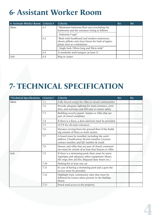### **6- Assistant Worker Room**

| 6- Assistant Worker Room Criteria #                                                                       |     | Criteria                                                                                           | Yes | <b>No</b> |
|-----------------------------------------------------------------------------------------------------------|-----|----------------------------------------------------------------------------------------------------|-----|-----------|
| Main<br>"Minimum bedroom floor area (excluding the<br>6.1<br>bathroom and the entrance) being as follows: |     |                                                                                                    |     |           |
|                                                                                                           |     | - bedroom 9 sqm"                                                                                   |     |           |
| 6.2<br>priate sizes as a minimum:                                                                         |     | "Beds with headboard and modern mattresses,<br>sheets, pillows and clean linens for beds of appro- |     |           |
|                                                                                                           |     | - Single beds 190cm long and 90cm wide"                                                            |     |           |
|                                                                                                           | 6.3 | A wardrobe with hangers (at least 3)                                                               |     |           |
| Sub                                                                                                       | 6.4 | Rug or carpet                                                                                      |     |           |

#### **7- TECHNICAL SPECIFICATION**

| <b>7-Technical Specifications</b> | Criteria # | Criteria                                                                                                                                                        | Yes | <b>No</b> |
|-----------------------------------|------------|-----------------------------------------------------------------------------------------------------------------------------------------------------------------|-----|-----------|
| Main                              | 7.1        | Fully fenced except for villas in closed communities                                                                                                            |     |           |
|                                   | 7.2        | Provide adequate lighting for main entrance, corri-<br>dors, and stairways and full unit to ensure safety                                                       |     |           |
|                                   | 7.3        | Building security guard - homes or villas that are<br>part of closed complexes                                                                                  |     |           |
|                                   | 7.4        | If there is a fence, a door and lock must be provided                                                                                                           |     |           |
|                                   | 7.5        | CCTV for all main entrances                                                                                                                                     |     |           |
|                                   | 7.6        | Elevator serving from the ground floor if the build-<br>ing consists of three or more stories.                                                                  |     |           |
|                                   | 7.7        | A board must be installed, including the unit's<br>address, Classification, Permit number, Licensee<br>contact number, and QT number & email                    |     |           |
|                                   | 7.8        | Houses and villas that are part of closed communi-<br>ties must be consist of at least four houses or villas                                                    |     |           |
| Sub                               | 7.9        | If there is a swimming pool, there must be warn-<br>ings/signs and adequate safety equipment (floats,<br>life rings, first aid kits, lifeguard duty hours etc.) |     |           |
|                                   | 7.10       | Parking for at least one car                                                                                                                                    |     |           |
|                                   | 7.11       | In case of having a swimming pool and a gym the<br>service must be provided                                                                                     |     |           |
|                                   | 7.12       | Highlight basic community rules that must be<br>followed by Guests when present in the Holiday<br>Home                                                          |     |           |
|                                   | 7.13       | Paved road access to the property                                                                                                                               |     |           |

**3 4**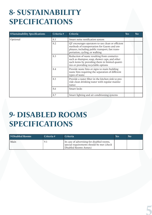#### **8- SUSTAINABILITY SPECIFICATIONS**

| 8-Sustainability Specifications | Criteria # | Criteria                                                                                                                                                                                | Yes | N <sub>o</sub> |
|---------------------------------|------------|-----------------------------------------------------------------------------------------------------------------------------------------------------------------------------------------|-----|----------------|
| Optional                        | 8.1        | Smart noise notification system                                                                                                                                                         |     |                |
|                                 | 8.2        | QT encourages operators to use clean or efficient<br>methods of transportation for Guests and em-<br>ployees, including public transport, fast trans-<br>portation, cycling, or walking |     |                |
|                                 | 8.3        | Reduction of waste resulting from cosmetics<br>such as shampoo, soap, shower caps, and other<br>such items by providing them in limited quanti-<br>ties or providing recyclable options |     |                |
|                                 | 8.4        | Provide waste bins or signs to main building<br>waste bins requiring the separation of different<br>types of waste                                                                      |     |                |
|                                 | 8.5        | Provide a water filter in the kitchen sink to pro-<br>vide clean drinking water with regular mainte-<br>nance                                                                           |     |                |
|                                 | 8.6        | Smart locks                                                                                                                                                                             |     |                |
|                                 | 8.7        | Smart lighting and air conditioning systems                                                                                                                                             |     |                |

### **9- DISABLED ROOMS SPECIFICATIONS**

| 9-Disabled Rooms | Criteria # | <b>Criteria</b>                                                                                                  | Yes | No |
|------------------|------------|------------------------------------------------------------------------------------------------------------------|-----|----|
| Main             | 9.1        | In case of advertising for disabled rooms,<br>special requirements should be met (check<br>Disabled Rooms Annex) |     |    |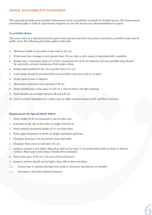#### **ANNEX: ACCESSIBILITY STANDARDS**

This appendix provides more detailed information on the accessibility standards for disabled guests. The requirements mentioned apply to Villas & Apartments categories in case this feature was advertised/offered to guests.

#### **Accessibility Route**

This route refers to a dedicated path for guests with special needs from the point of arrival to accessible rooms and all public areas. The following principles apply to this path:

- 1. Minimum width at any point in the route is 152 cm.
- 2. If the route has a change in level greater than 130 cm, then a curb, ramp, or wheelchair-lift is available.
- 3. Ramps have a maximum slope of 1:12 for a maximum rise of 76 cm; however, the least possible slope should be used with a smooth transaction from ramp to floor.
- 4. Ramps have handrails if the rise is greater than 15.5 cm.
- 5. Curb ramps should be provided when an accessible route has a curb in its path.
- 6. Doors open at least 95 degrees.
- 7. Doors have minimum clear opening of 90 cm.
- 8. Doors should have a clear space of 120 cm x 120 cm before and after opening.
- 9. Door handles set at height between 80 and 130 cm.
- 10. End of corridor highlighted by colour, tone or light contrast between walls and floor coverings.

#### **Requirements for Special Needs Toilets:**

- 1 . Toilet height 43-49 cm measured to top of toilet seat.
- 2 . Grab bars to the side of the toilet at height of 83-92 cm
- 3 . Flush controls maximum height of 112 cm from floor.
- 4 . Toilet paper dispensers at 48-83 cm height and below grab bars.
- 5 . Clearance of at least 142 cm between door and toilet.
- 6 . Clearance form entry to stall door 152 cm.
- 7 . Lavatory counter is not higher than 86 m with no less than 75 cm underneath with no sharp or abrasive surfaces. Water pipes and surfaces should all be insulated.

**5 6**

- 8 . Clear front space of 90 cm x 122 cm in front of lavatory.
- 9 . Lavatory mirrors should not be higher than 100cm above the floor.
- 10. Faucets easy to operate through lever, push or electronic mechanism, no handles.
- 11. Emergency call within disabled lavatory.